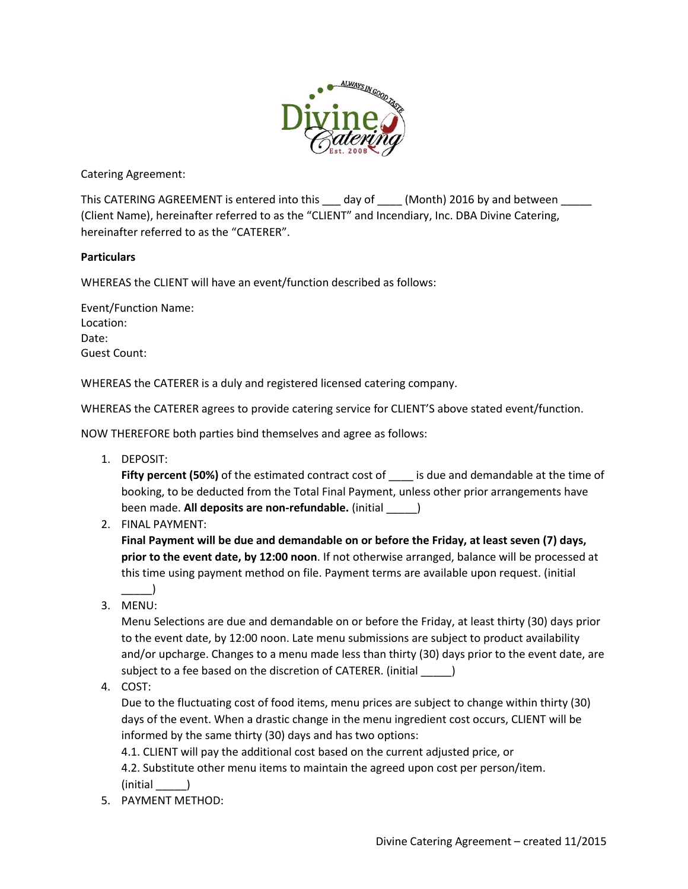

Catering Agreement:

This CATERING AGREEMENT is entered into this \_\_\_ day of \_\_\_\_ (Month) 2016 by and between (Client Name), hereinafter referred to as the "CLIENT" and Incendiary, Inc. DBA Divine Catering, hereinafter referred to as the "CATERER".

## **Particulars**

WHEREAS the CLIENT will have an event/function described as follows:

Event/Function Name: Location: Date: Guest Count:

WHEREAS the CATERER is a duly and registered licensed catering company.

WHEREAS the CATERER agrees to provide catering service for CLIENT'S above stated event/function.

NOW THEREFORE both parties bind themselves and agree as follows:

1. DEPOSIT:

**Fifty percent (50%)** of the estimated contract cost of is due and demandable at the time of booking, to be deducted from the Total Final Payment, unless other prior arrangements have been made. **All deposits are non-refundable.** (initial \_\_\_\_\_)

2. FINAL PAYMENT:

**Final Payment will be due and demandable on or before the Friday, at least seven (7) days, prior to the event date, by 12:00 noon**. If not otherwise arranged, balance will be processed at this time using payment method on file. Payment terms are available upon request. (initial

3. MENU:

 $\Box$ 

Menu Selections are due and demandable on or before the Friday, at least thirty (30) days prior to the event date, by 12:00 noon. Late menu submissions are subject to product availability and/or upcharge. Changes to a menu made less than thirty (30) days prior to the event date, are subject to a fee based on the discretion of CATERER. (initial \_\_\_\_\_)

4. COST:

Due to the fluctuating cost of food items, menu prices are subject to change within thirty (30) days of the event. When a drastic change in the menu ingredient cost occurs, CLIENT will be informed by the same thirty (30) days and has two options:

4.1. CLIENT will pay the additional cost based on the current adjusted price, or

4.2. Substitute other menu items to maintain the agreed upon cost per person/item. (initial \_\_\_\_\_)

5. PAYMENT METHOD: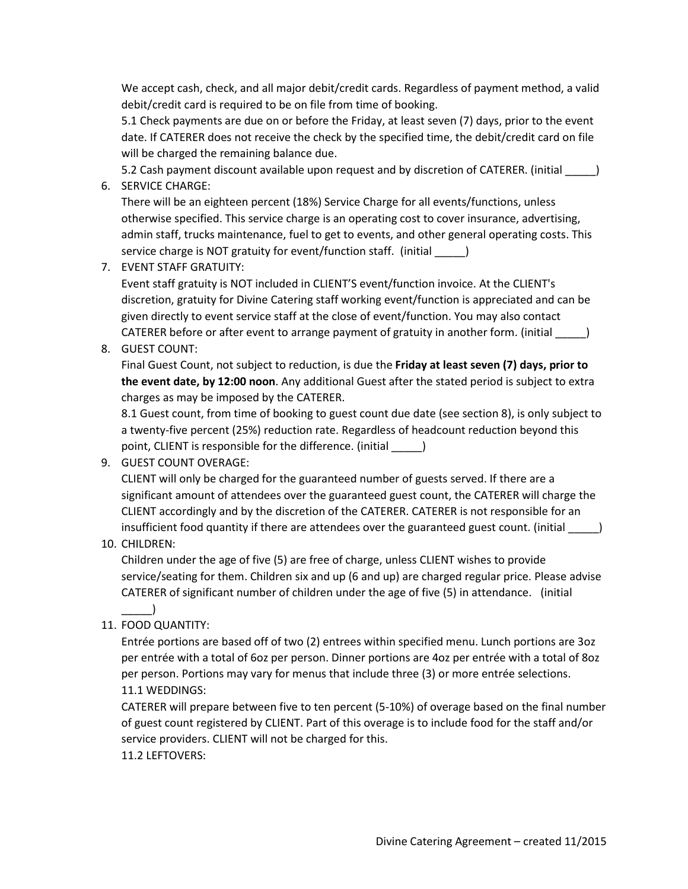We accept cash, check, and all major debit/credit cards. Regardless of payment method, a valid debit/credit card is required to be on file from time of booking.

5.1 Check payments are due on or before the Friday, at least seven (7) days, prior to the event date. If CATERER does not receive the check by the specified time, the debit/credit card on file will be charged the remaining balance due.

5.2 Cash payment discount available upon request and by discretion of CATERER. (initial  $\qquad \qquad$  )

6. SERVICE CHARGE:

There will be an eighteen percent (18%) Service Charge for all events/functions, unless otherwise specified. This service charge is an operating cost to cover insurance, advertising, admin staff, trucks maintenance, fuel to get to events, and other general operating costs. This service charge is NOT gratuity for event/function staff. (initial \_\_\_\_\_)

7. EVENT STAFF GRATUITY:

Event staff gratuity is NOT included in CLIENT'S event/function invoice. At the CLIENT's discretion, gratuity for Divine Catering staff working event/function is appreciated and can be given directly to event service staff at the close of event/function. You may also contact CATERER before or after event to arrange payment of gratuity in another form. (initial \_\_\_\_\_) 8. GUEST COUNT:

Final Guest Count, not subject to reduction, is due the **Friday at least seven (7) days, prior to the event date, by 12:00 noon**. Any additional Guest after the stated period is subject to extra charges as may be imposed by the CATERER.

8.1 Guest count, from time of booking to guest count due date (see section 8), is only subject to a twenty-five percent (25%) reduction rate. Regardless of headcount reduction beyond this point, CLIENT is responsible for the difference. (initial \_\_\_\_\_)

9. GUEST COUNT OVERAGE:

CLIENT will only be charged for the guaranteed number of guests served. If there are a significant amount of attendees over the guaranteed guest count, the CATERER will charge the CLIENT accordingly and by the discretion of the CATERER. CATERER is not responsible for an insufficient food quantity if there are attendees over the guaranteed guest count. (initial  $\qquad \qquad$  )

10. CHILDREN:

 $\Box$ 

Children under the age of five (5) are free of charge, unless CLIENT wishes to provide service/seating for them. Children six and up (6 and up) are charged regular price. Please advise CATERER of significant number of children under the age of five (5) in attendance. (initial

11. FOOD QUANTITY:

Entrée portions are based off of two (2) entrees within specified menu. Lunch portions are 3oz per entrée with a total of 6oz per person. Dinner portions are 4oz per entrée with a total of 8oz per person. Portions may vary for menus that include three (3) or more entrée selections. 11.1 WEDDINGS:

CATERER will prepare between five to ten percent (5-10%) of overage based on the final number of guest count registered by CLIENT. Part of this overage is to include food for the staff and/or service providers. CLIENT will not be charged for this. 11.2 LEFTOVERS: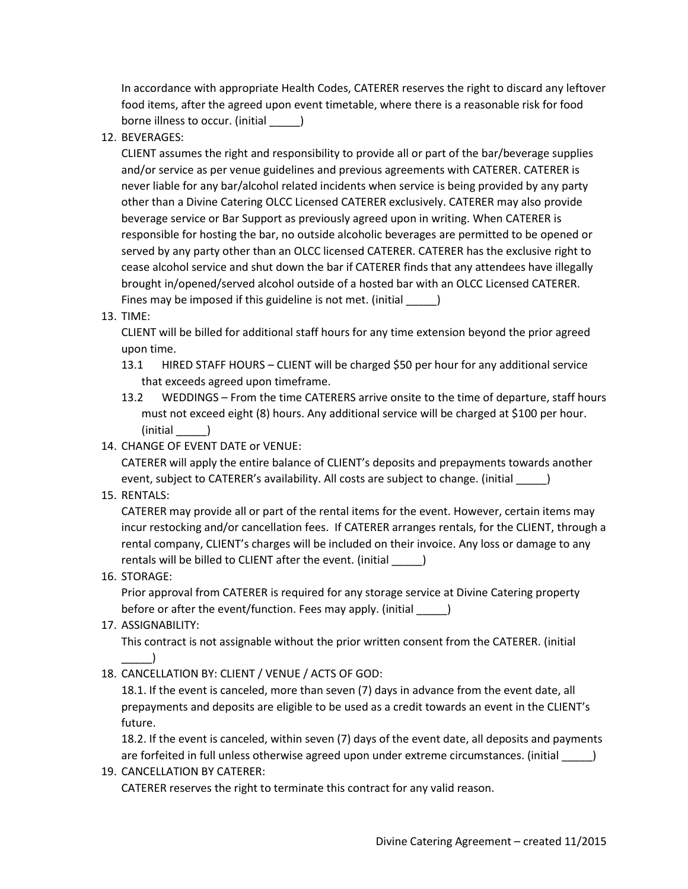In accordance with appropriate Health Codes, CATERER reserves the right to discard any leftover food items, after the agreed upon event timetable, where there is a reasonable risk for food borne illness to occur. (initial  $\qquad \qquad$  )

12. BEVERAGES:

CLIENT assumes the right and responsibility to provide all or part of the bar/beverage supplies and/or service as per venue guidelines and previous agreements with CATERER. CATERER is never liable for any bar/alcohol related incidents when service is being provided by any party other than a Divine Catering OLCC Licensed CATERER exclusively. CATERER may also provide beverage service or Bar Support as previously agreed upon in writing. When CATERER is responsible for hosting the bar, no outside alcoholic beverages are permitted to be opened or served by any party other than an OLCC licensed CATERER. CATERER has the exclusive right to cease alcohol service and shut down the bar if CATERER finds that any attendees have illegally brought in/opened/served alcohol outside of a hosted bar with an OLCC Licensed CATERER. Fines may be imposed if this guideline is not met. (initial \_\_\_\_\_)

13. TIME:

CLIENT will be billed for additional staff hours for any time extension beyond the prior agreed upon time.

- 13.1 HIRED STAFF HOURS CLIENT will be charged \$50 per hour for any additional service that exceeds agreed upon timeframe.
- 13.2 WEDDINGS From the time CATERERS arrive onsite to the time of departure, staff hours must not exceed eight (8) hours. Any additional service will be charged at \$100 per hour. (initial \_\_\_\_\_)
- 14. CHANGE OF EVENT DATE or VENUE:

CATERER will apply the entire balance of CLIENT's deposits and prepayments towards another event, subject to CATERER's availability. All costs are subject to change. (initial \_\_\_\_\_)

15. RENTALS:

CATERER may provide all or part of the rental items for the event. However, certain items may incur restocking and/or cancellation fees. If CATERER arranges rentals, for the CLIENT, through a rental company, CLIENT's charges will be included on their invoice. Any loss or damage to any rentals will be billed to CLIENT after the event. (initial \_\_\_\_\_)

16. STORAGE:

Prior approval from CATERER is required for any storage service at Divine Catering property before or after the event/function. Fees may apply. (initial \_\_\_\_\_)

17. ASSIGNABILITY:

This contract is not assignable without the prior written consent from the CATERER. (initial \_\_\_\_\_)

18. CANCELLATION BY: CLIENT / VENUE / ACTS OF GOD:

18.1. If the event is canceled, more than seven (7) days in advance from the event date, all prepayments and deposits are eligible to be used as a credit towards an event in the CLIENT's future.

18.2. If the event is canceled, within seven (7) days of the event date, all deposits and payments are forfeited in full unless otherwise agreed upon under extreme circumstances. (initial \_\_\_\_\_)

19. CANCELLATION BY CATERER: CATERER reserves the right to terminate this contract for any valid reason.